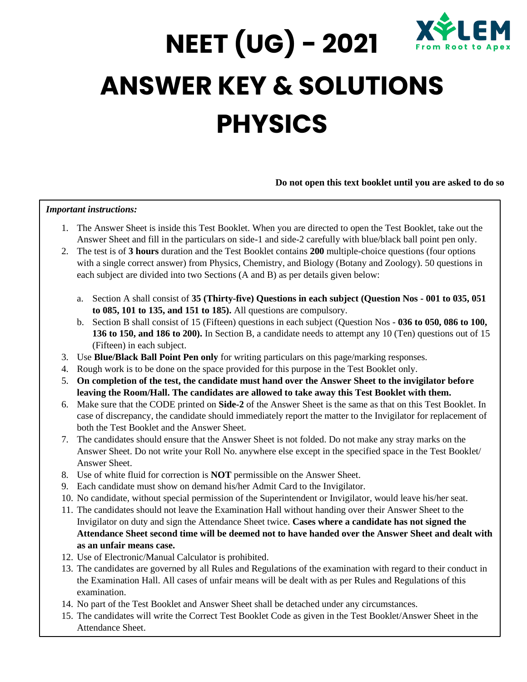

## **NEET (UG) - 2021 ANSWER KEY & SOLUTIONS PHYSICS**

## **Do not open this text booklet until you are asked to do so**

## *Important instructions:*

- 1. The Answer Sheet is inside this Test Booklet. When you are directed to open the Test Booklet, take out the Answer Sheet and fill in the particulars on side-1 and side-2 carefully with blue/black ball point pen only.
- 2. The test is of **3 hours** duration and the Test Booklet contains **200** multiple-choice questions (four options with a single correct answer) from Physics, Chemistry, and Biology (Botany and Zoology). 50 questions in each subject are divided into two Sections (A and B) as per details given below:
	- a. Section A shall consist of **35 (Thirty-five) Questions in each subject (Question Nos - 001 to 035, 051 to 085, 101 to 135, and 151 to 185).** All questions are compulsory.
	- b. Section B shall consist of 15 (Fifteen) questions in each subject (Question Nos **036 to 050, 086 to 100, 136 to 150, and 186 to 200).** In Section B, a candidate needs to attempt any 10 (Ten) questions out of 15 (Fifteen) in each subject.
- 3. Use **Blue/Black Ball Point Pen only** for writing particulars on this page/marking responses.
- 4. Rough work is to be done on the space provided for this purpose in the Test Booklet only.
- 5. **On completion of the test, the candidate must hand over the Answer Sheet to the invigilator before leaving the Room/Hall. The candidates are allowed to take away this Test Booklet with them.**
- 6. Make sure that the CODE printed on **Side-2** of the Answer Sheet is the same as that on this Test Booklet. In case of discrepancy, the candidate should immediately report the matter to the Invigilator for replacement of both the Test Booklet and the Answer Sheet.
- 7. The candidates should ensure that the Answer Sheet is not folded. Do not make any stray marks on the Answer Sheet. Do not write your Roll No. anywhere else except in the specified space in the Test Booklet/ Answer Sheet.
- 8. Use of white fluid for correction is **NOT** permissible on the Answer Sheet.
- 9. Each candidate must show on demand his/her Admit Card to the Invigilator.
- 10. No candidate, without special permission of the Superintendent or Invigilator, would leave his/her seat.
- 11. The candidates should not leave the Examination Hall without handing over their Answer Sheet to the Invigilator on duty and sign the Attendance Sheet twice. **Cases where a candidate has not signed the Attendance Sheet second time will be deemed not to have handed over the Answer Sheet and dealt with as an unfair means case.**
- 12. Use of Electronic/Manual Calculator is prohibited.
- 13. The candidates are governed by all Rules and Regulations of the examination with regard to their conduct in the Examination Hall. All cases of unfair means will be dealt with as per Rules and Regulations of this examination.
- 14. No part of the Test Booklet and Answer Sheet shall be detached under any circumstances.
- 15. The candidates will write the Correct Test Booklet Code as given in the Test Booklet/Answer Sheet in the Attendance Sheet.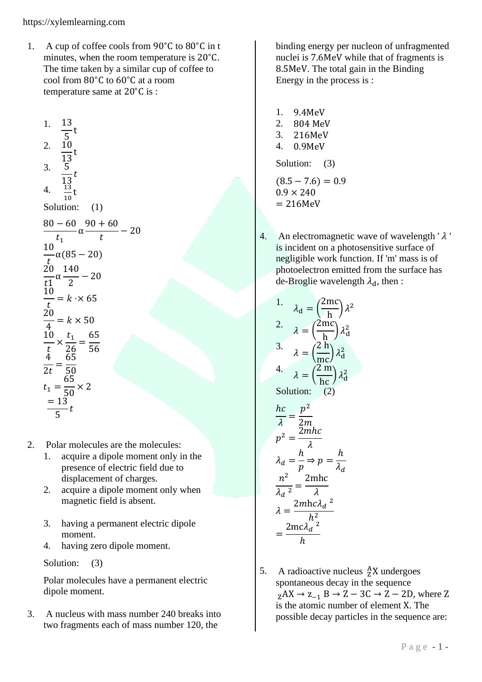1. A cup of coffee cools from 90∘C to 80∘C in t minutes, when the room temperature is 20∘C. The time taken by a similar cup of coffee to cool from 80∘C to 60∘C at a room temperature same at 20∘C is :

1. 
$$
\frac{13}{5}
$$
 t  
\n2.  $\frac{10}{13}$  t  
\n3.  $\frac{5}{13}$  t  
\n4.  $\frac{13}{10}$  t  
\nSolution: (1)  
\n $\frac{80 - 60}{t_1} \alpha \frac{90 + 60}{t} - 20$   
\n $\frac{10}{t_1} \alpha (85 - 20)$   
\n $\frac{20}{t_1} \alpha \frac{140}{2} - 20$   
\n $\frac{10}{t_1} = k \cdot \times 65$   
\n $\frac{20}{t} = k \times 50$   
\n $\frac{10}{4} = k \times 50$   
\n $\frac{10}{4} \times \frac{t_1}{26} = \frac{65}{56}$   
\n $\frac{4}{t} = \frac{65}{50}$   
\n $t_1 = \frac{65}{50} \times 2$   
\n $= 13$  t

- 2. Polar molecules are the molecules:
	- 1. acquire a dipole moment only in the presence of electric field due to displacement of charges.
	- 2. acquire a dipole moment only when magnetic field is absent.
	- 3. having a permanent electric dipole moment.
	- 4. having zero dipole moment.

Solution: (3)

Polar molecules have a permanent electric dipole moment.

3. A nucleus with mass number 240 breaks into two fragments each of mass number 120, the

binding energy per nucleon of unfragmented nuclei is 7.6MeV while that of fragments is 8.5MeV. The total gain in the Binding Energy in the process is :

1. 9.4MeV 2. 804 MeV 3. 216MeV 4. 0.9MeV Solution: (3)  $(8.5 - 7.6) = 0.9$  $0.9 \times 240$ 

 $= 216MeV$ 

4. An electromagnetic wave of wavelength ' $\lambda$ ' is incident on a photosensitive surface of negligible work function. If 'm' mass is of photoelectron emitted from the surface has de-Broglie wavelength  $\lambda_d$ , then :

1. 
$$
\lambda_{d} = \left(\frac{2mc}{h}\right)\lambda^{2}
$$
  
\n2. 
$$
\lambda = \left(\frac{2mc}{h}\right)\lambda_{d}^{2}
$$
  
\n3. 
$$
\lambda = \left(\frac{2h}{mc}\right)\lambda_{d}^{2}
$$
  
\n4. 
$$
\lambda = \left(\frac{2m}{hc}\right)\lambda_{d}^{2}
$$
  
\nSolution: (2)  
\n
$$
\frac{hc}{\lambda} = \frac{p^{2}}{2m}
$$
  
\n
$$
p^{2} = \frac{2mhc}{\lambda}
$$
  
\n
$$
\lambda_{d} = \frac{h}{p} \Rightarrow p = \frac{h}{\lambda_{d}}
$$
  
\n
$$
\frac{n^{2}}{\lambda_{d}^{2}} = \frac{2mhc}{\lambda}
$$
  
\n
$$
\lambda = \frac{2mhc\lambda_{d}^{2}}{h^{2}}
$$

 $h^2$ 

 $2mc\lambda_d^2$ ℎ

=

5. A radioactive nucleus 
$$
{}^{A}_{Z}X
$$
 undergoes spontaneous decay in the sequence  ${}_{Z}AX \rightarrow Z_{-1}B \rightarrow Z - 3C \rightarrow Z - 2D$ , where Z is the atomic number of element X. The possible decay particles in the sequence are: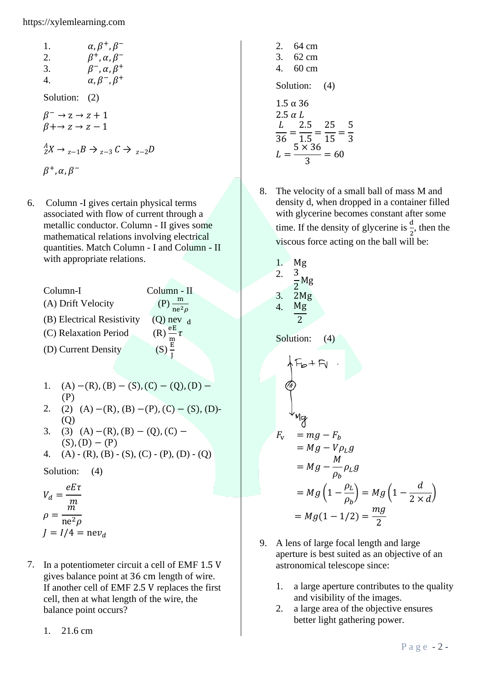1. 
$$
\alpha, \beta^+, \beta^-
$$
  
\n2.  $\beta^+, \alpha, \beta^-$   
\n3.  $\beta^-, \alpha, \beta^+$   
\n4.  $\alpha, \beta^-, \beta^+$   
\nSolution: (2)  
\n $\beta^- \rightarrow z \rightarrow z + 1$   
\n $\beta + \rightarrow z \rightarrow z - 1$   
\n $\stackrel{A}{2}X \rightarrow z - 1B \rightarrow z - 3C \rightarrow z - 2D$   
\n $\beta^+, \alpha, \beta^-$ 

6. Column -I gives certain physical terms associated with flow of current through a metallic conductor. Column - II gives some mathematical relations involving electrical quantities. Match Column - I and Column - II with appropriate relations.

Column-I Column - II (A) Drift Velocity (P)  $\frac{m}{ne^2\rho}$ (B) Electrical Resistivity (Q) nev  $_d$ (C) Relaxation Period  $\frac{\text{eE}}{\text{m}} \tau$ (D) Current Density J

- 1. (A)  $-(R)$ ,  $(B) (S)$ ,  $(C) (Q)$ ,  $(D) -$ (P)
- 2. (2) (A) –(R), (B) –(P), (C) (S), (D)-(Q)
- 3. (3) (A) –(R), (B) (Q), (C)  $(S), (D) - (P)$
- 4. (A) (R), (B) (S), (C) (P), (D) (Q)

Solution: (4)

$$
V_d = \frac{eE\tau}{m}
$$
  
\n
$$
\rho = \frac{m}{ne^2\rho}
$$
  
\n
$$
J = I/4 = nev_d
$$

- 7. In a potentiometer circuit a cell of EMF 1.5 V gives balance point at 36 cm length of wire. If another cell of EMF 2.5 V replaces the first cell, then at what length of the wire, the balance point occurs?
	- 1. 21.6 cm
- 2. 64 cm 3. 62 cm 4. 60 cm Solution: (4)  $1.5$  α 36  $2.5 \alpha L$ L  $\frac{1}{36}$  = 2.5 1.5 = 25  $\frac{1}{15}$  = 5 3  $L=$  $5 \times 36$ 3  $= 60$
- 8. The velocity of a small ball of mass M and density d, when dropped in a container filled with glycerine becomes constant after some time. If the density of glycerine is  $\frac{d}{2}$ , then the viscous force acting on the ball will be:

1. Mg  
\n2. 
$$
\frac{3}{2}Mg
$$
  
\n3.  $2Mg$   
\n4.  $\frac{Mg}{2}$   
\nSolution: (4)  
\n $+$  F<sub>b</sub> + F<sub>l</sub>  
\n $+$   $+$   
\n $Mg$   
\n $F_v = mg - F_b$   
\n $= Mg - V\rho_Lg$   
\n $= Mg - \frac{M}{\rho_b}\rho_Lg$   
\n $= Mg \left(1 - \frac{\rho_L}{\rho_b}\right) = Mg \left(1 - \frac{d}{2 \times d}\right)$   
\n $= Mg(1 - 1/2) = \frac{mg}{2}$ 

- 9. A lens of large focal length and large aperture is best suited as an objective of an astronomical telescope since:
	- 1. a large aperture contributes to the quality and visibility of the images.
	- 2. a large area of the objective ensures better light gathering power.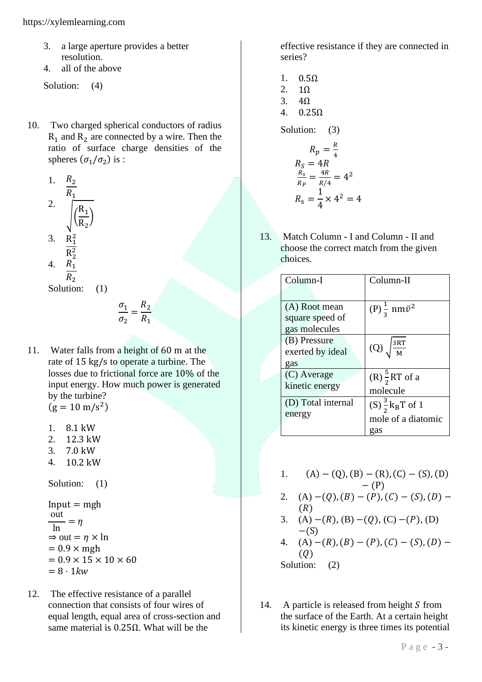- 3. a large aperture provides a better resolution.
- 4. all of the above

Solution: (4)

10. Two charged spherical conductors of radius  $R_1$  and  $R_2$  are connected by a wire. Then the ratio of surface charge densities of the spheres  $(\sigma_1/\sigma_2)$  is :

1. 
$$
\frac{R_2}{R_1}
$$
  
\n2.  $\sqrt{\frac{R_1}{R_2}}$   
\n3.  $\frac{R_1^2}{R_2^2}$   
\n4.  $\frac{R_1}{R_2}$ 

Solution: (1)

$$
\frac{\sigma_1}{\sigma_2} = \frac{R_2}{R_1}
$$

- 11. Water falls from a height of 60 m at the rate of 15 kg/s to operate a turbine. The losses due to frictional force are 10% of the input energy. How much power is generated by the turbine?  $(g = 10 \text{ m/s}^2)$ 
	- 1. 8.1 kW
	- 2. 12.3 kW
	- 3. 7.0 kW
	- 4. 10.2 kW

Solution: (1)

Input = mgh  
\n
$$
\frac{\text{out}}{\text{ln}} = \eta
$$
\n
$$
\Rightarrow \text{out} = \eta \times \text{ln}
$$
\n= 0.9 × mgh  
\n= 0.9 × 15 × 10 × 60  
\n= 8 · 1kw

12. The effective resistance of a parallel connection that consists of four wires of equal length, equal area of cross-section and same material is 0.25Ω. What will be the

effective resistance if they are connected in series?

- 1. 0.5Ω 2. 1Ω
- 3. 4Ω
- 4. 0.25Ω

Solution: (3)

$$
R_p = \frac{R}{4}
$$
  
\n
$$
R_S = 4R
$$
  
\n
$$
\frac{R_S}{R_P} = \frac{4R}{R/4} = 4^2
$$
  
\n
$$
R_S = \frac{1}{4} \times 4^2 = 4
$$

13. Match Column - I and Column - II and choose the correct match from the given choices.

| Column-I           | Column-II                       |  |
|--------------------|---------------------------------|--|
|                    |                                 |  |
| (A) Root mean      | $(P)\frac{1}{2}$ nm $\bar{v}^2$ |  |
| square speed of    |                                 |  |
| gas molecules      |                                 |  |
| (B) Pressure       |                                 |  |
| exerted by ideal   | $(Q)$ $\sqrt{\frac{3RT}{M}}$    |  |
| gas                |                                 |  |
| (C) Average        | $(R)\frac{5}{3}RT$ of a         |  |
| kinetic energy     | molecule                        |  |
| (D) Total internal | $(S) \frac{3}{2} k_B T$ of 1    |  |
| energy             | mole of a diatomic              |  |
|                    | gas                             |  |

- 1.  $(A) (Q)$ ,  $(B) (R)$ ,  $(C) (S)$ ,  $(D)$  $-(P)$
- 2. (A)  $-(Q)$ ,  $(B) (P)$ ,  $(C) (S)$ ,  $(D) (R)$
- 3. (A)  $-(R)$ , (B)  $-(Q)$ , (C)  $-(P)$ , (D)  $-(S)$
- 4. (A)  $-(R)$ ,  $(B) (P)$ ,  $(C) (S)$ ,  $(D) (0)$

Solution: (2)

14. A particle is released from height S from the surface of the Earth. At a certain height its kinetic energy is three times its potential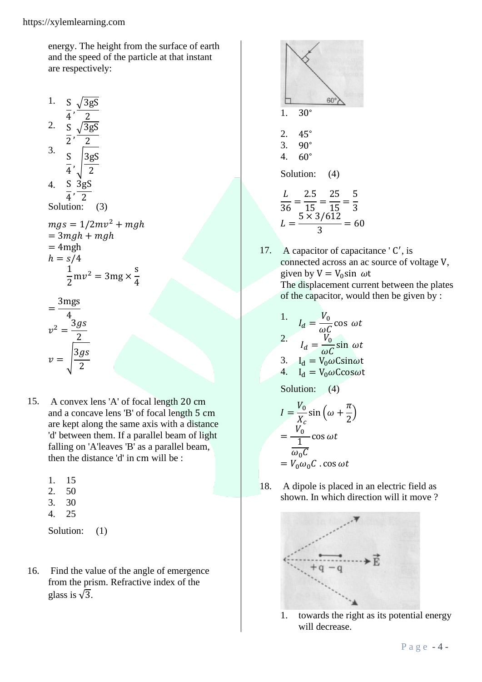energy. The height from the surface of earth and the speed of the particle at that instant are respectively:

> s 4

1. 
$$
\frac{S}{4}, \frac{\sqrt{3gS}}{2}
$$
  
\n2. 
$$
\frac{S}{2}, \frac{\sqrt{3gS}}{2}
$$
  
\n3. 
$$
\frac{S}{4}, \frac{3gS}{2}
$$
  
\n4. 
$$
\frac{S}{4}, \frac{3gS}{2}
$$
  
\n5olutions: (3)  
\n
$$
mgs = 1/2mv^2 + mgh
$$
  
\n
$$
= 3mgh + mgh
$$
  
\n
$$
= 4mgh
$$
  
\n
$$
h = s/4
$$
  
\n
$$
\frac{1}{2}mv^2 = 3mg \times \frac{s}{4}
$$
  
\n
$$
= \frac{3mgs}{4}
$$
  
\n
$$
v^2 = \frac{3gs}{2}
$$
  
\n
$$
v = \sqrt{\frac{3gs}{2}}
$$

2

- 15. A convex lens 'A' of focal length 20 cm and a concave lens 'B' of focal length 5 cm are kept along the same axis with a distance 'd' between them. If a parallel beam of light falling on 'A'leaves 'B' as a parallel beam, then the distance 'd' in cm will be :
	- 1. 15
	- 2. 50
	- 3. 30
	- 4. 25

Solution:  $(1)$ 

16. Find the value of the angle of emergence from the prism. Refractive index of the glass is  $\sqrt{3}$ .



17. A capacitor of capacitance 'C', is connected across an ac source of voltage V, given by  $V = V_0 \sin \omega t$ The displacement current between the plates of the capacitor, would then be given by :

1. 
$$
I_d = \frac{V_0}{\omega C} \cos \omega t
$$
  
2. 
$$
I_d = \frac{V_0}{\omega C} \sin \omega t
$$
  
3. 
$$
I_d = V_0 \omega \text{C} \sin \omega t
$$
  
4. 
$$
I_d = V_0 \omega \text{C} \cos \omega t
$$

Solution: (4)

$$
I = \frac{V_0}{X_c} \sin \left(\omega + \frac{\pi}{2}\right)
$$

$$
= \frac{V_0}{\frac{1}{\omega_0 C}} \cos \omega t
$$

$$
= V_0 \omega_0 C \cdot \cos \omega t
$$

18. A dipole is placed in an electric field as shown. In which direction will it move ?



1. towards the right as its potential energy will decrease.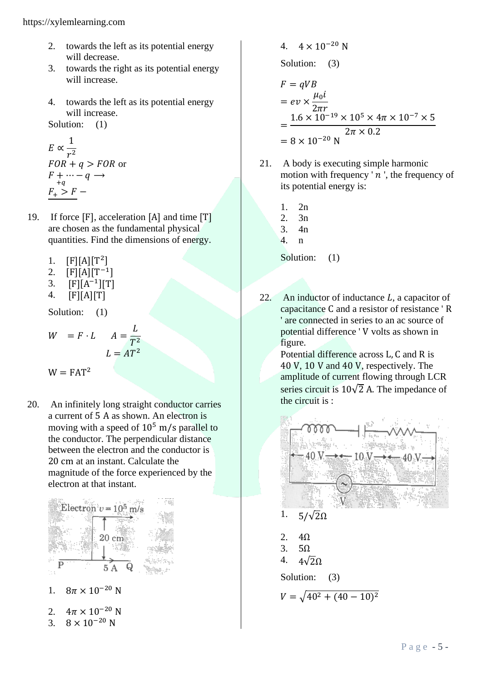- 2. towards the left as its potential energy will decrease.
- 3. towards the right as its potential energy will increase.
- 4. towards the left as its potential energy will increase.

Solution: (1)

$$
E \propto \frac{1}{r^2}
$$
  
\n
$$
FOR + q > FOR
$$
 or  
\n
$$
F + \cdots - q \rightarrow
$$
  
\n
$$
F_+ > F -
$$

- 19. If force [F], acceleration [A] and time [T] are chosen as the fundamental physical quantities. Find the dimensions of energy.
	- 1.  $[F][A][T^2]$
	- 2.  $[F][A][T^{-1}]$
	- 3.  $[F][A^{-1}][T]$
	- 4. [F][A][T]

Solution: (1)

$$
W = F \cdot L \qquad A = \frac{L}{T^2}
$$

$$
L = AT^2
$$

$$
W = FAT^2
$$

20. An infinitely long straight conductor carries a current of 5 A as shown. An electron is moving with a speed of  $10^5$  m/s parallel to the conductor. The perpendicular distance between the electron and the conductor is 20 cm at an instant. Calculate the magnitude of the force experienced by the electron at that instant.



3. 
$$
8 \times 10^{-20}
$$
 N

4. 
$$
4 \times 10^{-20} \text{ N}
$$
  
\nSolution: (3)  
\n $F = qVB$   
\n $= ev \times \frac{\mu_0 i}{2\pi r}$   
\n $= \frac{1.6 \times 10^{-19} \times 10^5 \times 4\pi \times 10^{-7} \times 5}{2\pi \times 0.2}$   
\n $= 8 \times 10^{-20} \text{ N}$ 

- 21. A body is executing simple harmonic motion with frequency  $n$ , the frequency of its potential energy is:
	- 1. 2n
	- 2. 3n
	- 3. 4n
	- 4. n

Solution:  $(1)$ 

22. An inductor of inductance *, a capacitor of* capacitance C and a resistor of resistance ' R ' are connected in series to an ac source of potential difference ' V volts as shown in figure.

Potential difference across L, C and R is 40 V, 10 V and 40 V, respectively. The amplitude of current flowing through LCR series circuit is  $10\sqrt{2}$  A. The impedance of the circuit is :

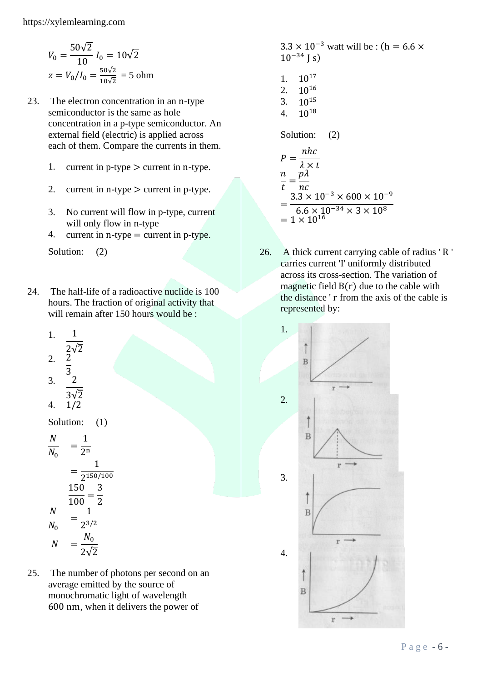$$
V_0 = \frac{50\sqrt{2}}{10} I_0 = 10\sqrt{2}
$$
  

$$
z = V_0/I_0 = \frac{50\sqrt{2}}{10\sqrt{2}} = 5 \text{ ohm}
$$

- 23. The electron concentration in an n-type semiconductor is the same as hole concentration in a p-type semiconductor. An external field (electric) is applied across each of them. Compare the currents in them.
	- 1. current in  $p$ -type  $>$  current in n-type.
	- 2. current in n-type  $>$  current in p-type.
	- 3. No current will flow in p-type, current will only flow in n-type
	- 4. current in n-type = current in p-type.

Solution: (2)

24. The half-life of a radioactive nuclide is 100 hours. The fraction of original activity that will remain after 150 hours would be :

1. 
$$
\frac{1}{2\sqrt{2}}
$$
  
\n2.  $\frac{2}{3}$   
\n3.  $\frac{2}{3\sqrt{2}}$   
\n4.  $1/2$   
\nSolution: (1)  
\n $\frac{N}{N_0} = \frac{1}{2^n}$   
\n $= \frac{1}{2^{150/100}}$   
\n $\frac{150}{100} = \frac{3}{2}$   
\n $\frac{N}{N_0} = \frac{1}{2^{3/2}}$   
\n $N = \frac{N_0}{2\sqrt{2}}$ 

25. The number of photons per second on an average emitted by the source of monochromatic light of wavelength 600 nm, when it delivers the power of

$$
3.3 \times 10^{-3} \text{ wat will be : } (h = 6.6 \times 10^{-34} \text{ J s})
$$
  
1. 10<sup>17</sup>  
2. 10<sup>16</sup>  
3. 10<sup>15</sup>  
4. 10<sup>18</sup>  
Solution: (2)  

$$
P = \frac{nhc}{\lambda \times t}
$$
  

$$
\frac{n}{t} = \frac{p\lambda}{nc}
$$
  

$$
5.3 \times 10^{-3} \times 600 \times 10^{-9}
$$
  
= 
$$
\frac{3.3 \times 10^{-3} \times 600 \times 10^{-9}}{6.6 \times 10^{-34} \times 3 \times 10^{8}}
$$
  
= 
$$
1 \times 10^{16}
$$

26. A thick current carrying cable of radius ' R ' carries current 'I' uniformly distributed across its cross-section. The variation of magnetic field B(r) due to the cable with the distance ' r from the axis of the cable is represented by:

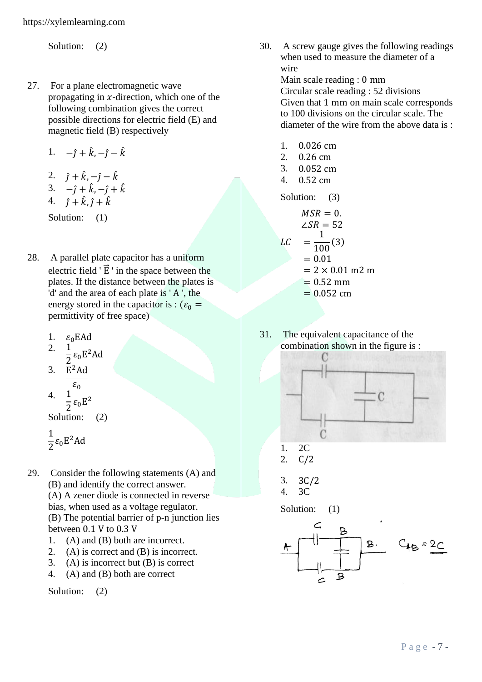Solution: (2)

- 27. For a plane electromagnetic wave propagating in  $x$ -direction, which one of the following combination gives the correct possible directions for electric field (E) and magnetic field (B) respectively
	- 1.  $-j + \hat{k}, -\hat{j} \hat{k}$
	- 2.  $\hat{j} + \hat{k}, -\hat{j} \hat{k}$

$$
3. \quad -\hat{j} + \hat{k}, -\hat{j} + \hat{k}
$$

4.  $\hat{j} + \hat{k}, \hat{j} + \hat{k}$ 

Solution: (1)

- 28. A parallel plate capacitor has a uniform electric field  $\vec{E}$  ' in the space between the plates. If the distance between the plates is 'd' and the area of each plate is ' A ', the energy stored in the capacitor is :  $(\varepsilon_0 =$ permittivity of free space)
	- 1.  $\varepsilon_0$ EAd
	- 2.  $\frac{1}{2} \varepsilon_0 E^2$ Ad
	- 3.  $E^2$ Ad  $\varepsilon_0$  $\overline{4}$ .

 $\frac{1}{2}\epsilon_0 E^2$ Solution: (2)

$$
\frac{1}{2}\epsilon_0 E^2 Ad
$$

- 29. Consider the following statements (A) and (B) and identify the correct answer. (A) A zener diode is connected in reverse bias, when used as a voltage regulator. (B) The potential barrier of p-n junction lies between 0.1 V to 0.3 V
	- 1. (A) and (B) both are incorrect.
	- 2. (A) is correct and (B) is incorrect.
	- 3. (A) is incorrect but (B) is correct
	- 4. (A) and (B) both are correct

Solution: (2)

30. A screw gauge gives the following readings when used to measure the diameter of a wire

Main scale reading : 0 mm Circular scale reading : 52 divisions Given that 1 mm on main scale corresponds to 100 divisions on the circular scale. The diameter of the wire from the above data is :

- 1. 0.026 cm
- 2. 0.26 cm
- 3. 0.052 cm
- 4. 0.52 cm

Solution: (3)

$$
MSR = 0.\n\angle SR = 52\nLC = \frac{1}{100}(3)\n= 0.01\n= 2 \times 0.01 \text{ m2 m}\n= 0.52 \text{ mm}
$$

$$
= 0.052 \text{ cm}
$$

31. The equivalent capacitance of the combination shown in the figure is :



$$
\begin{array}{cc} 1. & 2C \\ 2. & 21 \end{array}
$$

2. C/2

$$
3. \quad 3C/2
$$

$$
4. \quad 3C
$$

Solution:  $(1)$ 

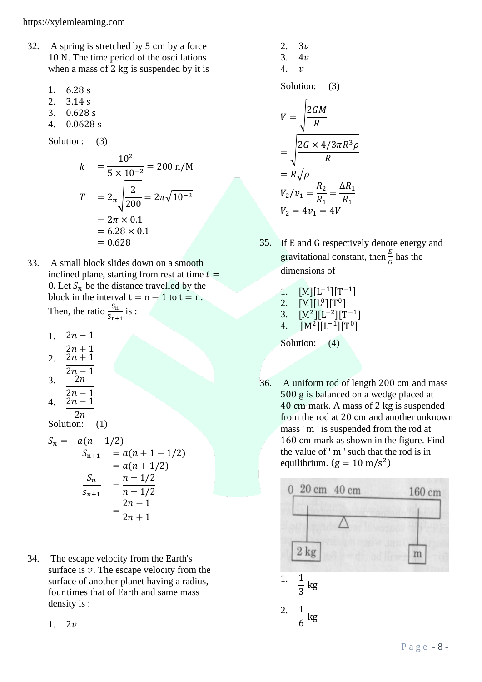- 32. A spring is stretched by 5 cm by a force 10 N. The time period of the oscillations when a mass of 2 kg is suspended by it is
	- 1. 6.28 s
	- 2. 3.14 s
	- 3. 0.628 s
	- 4. 0.0628 s

Solution: (3)

$$
k = \frac{10^2}{5 \times 10^{-2}} = 200 \text{ n/M}
$$
  
\n
$$
T = 2\pi \sqrt{\frac{2}{200}} = 2\pi \sqrt{10^{-2}}
$$
  
\n
$$
= 2\pi \times 0.1
$$
  
\n
$$
= 6.28 \times 0.1
$$
  
\n
$$
= 0.628
$$

- 33. A small block slides down on a smooth inclined plane, starting from rest at time  $t =$ 0. Let  $S_n$  be the distance travelled by the block in the interval  $t = n - 1$  to  $t = n$ . Then, the ratio  $\frac{S_n}{S_{n+1}}$  is :
	- 1.  $2n-1$
	- $\frac{2n + 1}{2}$ 2.  $2n + 1$
	- $\sqrt{2n-1}$  $3.$  2n

$$
4. \quad \frac{2n-1}{2n-1}
$$

 $2n$ Solution: (1)

 $\frac{1}{1}$ 

$$
S_n = a(n - 1/2)
$$
  
\n
$$
S_{n+1} = a(n + 1 - 1/2)
$$
  
\n
$$
= a(n + 1/2)
$$
  
\n
$$
\frac{S_n}{S_{n+1}} = \frac{n - 1/2}{n + 1/2}
$$
  
\n
$$
= \frac{2n - 1}{2n + 1}
$$

34. The escape velocity from the Earth's surface is  $\nu$ . The escape velocity from the surface of another planet having a radius, four times that of Earth and same mass density is :

1.  $2v$ 

2. 3*v*  
\n3. 4*v*  
\n4. *v*  
\nSolution: (3)  
\n
$$
V = \sqrt{\frac{2GM}{R}}
$$
\n
$$
= \sqrt{\frac{2G \times 4/3\pi R^3 \rho}{R}}
$$
\n
$$
= R\sqrt{\rho}
$$
\n
$$
V_2/v_1 = \frac{R_2}{R_1} = \frac{\Delta R_1}{R_1}
$$
\n
$$
V_2 = 4v_1 = 4V
$$

35. If E and G respectively denote energy and gravitational constant, then  $\frac{E}{G}$  has the dimensions of

1. 
$$
[M][L^{-1}][T^{-1}]
$$
  
2. 
$$
[M][L^{0}][T^{0}]
$$
  
3. 
$$
[M^{2}][I^{-2}][T^{-1}]
$$

3. 
$$
[M^2][L^{-2}][T^{-1}]
$$
  
4.  $[M^2][L^{-1}][T^0]$ 

Solution: (4)

36. A uniform rod of length 200 cm and mass 500 g is balanced on a wedge placed at 40 cm mark. A mass of 2 kg is suspended from the rod at 20 cm and another unknown mass ' m ' is suspended from the rod at 160 cm mark as shown in the figure. Find the value of ' m ' such that the rod is in equilibrium.  $(g = 10 \text{ m/s}^2)$ 

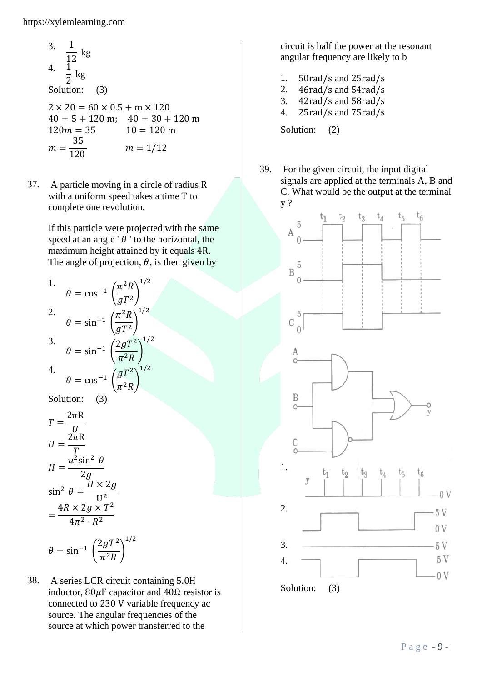3. 
$$
\frac{1}{12}
$$
 kg  
\n4.  $\frac{1}{2}$  kg  
\nSolution: (3)  
\n2 × 20 = 60 × 0.5 + m × 120  
\n40 = 5 + 120 m: 40 = 30 + 120 m

 $40 = 5 + 120$  m;  $40 = 30 + 120$  m  $120 m = 35$   $10 = 120 m$  $m=$ 35  $m = 1/12$ 

37. A particle moving in a circle of radius R with a uniform speed takes a time T to complete one revolution.

> If this particle were projected with the same speed at an angle  $\theta$  ' to the horizontal, the maximum height attained by it equals 4R. The angle of projection,  $\theta$ , is then given by

1.  
\n
$$
\theta = \cos^{-1} \left( \frac{\pi^2 R}{gT^2} \right)^{1/2}
$$
\n2.  
\n
$$
\theta = \sin^{-1} \left( \frac{\pi^2 R}{gT^2} \right)^{1/2}
$$
\n3.  
\n
$$
\theta = \sin^{-1} \left( \frac{2gT^2}{\pi^2 R} \right)^{1/2}
$$
\n4.  
\n
$$
\theta = \cos^{-1} \left( \frac{gT^2}{\pi^2 R} \right)^{1/2}
$$
\nSolution:  
\n(3)  
\n
$$
T = \frac{2\pi R}{U}
$$
\n
$$
U = \frac{2\pi R}{T}
$$
\n
$$
H = \frac{u^2 \sin^2 \theta}{2g}
$$
\n
$$
\sin^2 \theta = \frac{H \times 2g}{U^2}
$$
\n
$$
= \frac{4R \times 2g \times T^2}{4\pi^2 \cdot R^2}
$$

$$
\theta = \sin^{-1} \left( \frac{2gT^2}{\pi^2 R} \right)^{1/2}
$$

38. A series LCR circuit containing 5.0H inductor,  $80\mu$ F capacitor and  $40\Omega$  resistor is connected to 230 V variable frequency ac source. The angular frequencies of the source at which power transferred to the

circuit is half the power at the resonant angular frequency are likely to b

- 1. 50rad/s and 25rad/s
- 2. 46rad/s and 54rad/s
- 3. 42rad/s and 58rad/s
- 4. 25rad/s and 75rad/s

Solution: (2)

39. For the given circuit, the input digital signals are applied at the terminals A, B and C. What would be the output at the terminal y ?

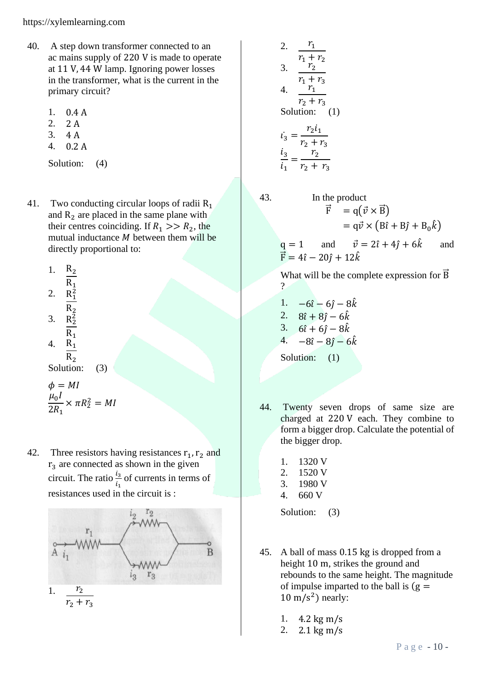- 40. A step down transformer connected to an ac mains supply of 220 V is made to operate at 11 V, 44 W lamp. Ignoring power losses in the transformer, what is the current in the primary circuit?
	- 1. 0.4 A
	- 2. 2 A
	- 3. 4 A
	- 4. 0.2 A

Solution: (4)

- 41. Two conducting circular loops of radii  $R_1$ and  $R_2$  are placed in the same plane with their centres coinciding. If  $R_1 >> R_2$ , the mutual inductance  $M$  between them will be directly proportional to:
	- 1.  $R_2$  $R_1$ 2.  $R_1^2$  $R_{2}$ 3.  $R_2^2$  $R_1$ 4.  $R_1$  $R_{2}$ Solution: (3)

$$
\begin{aligned} \phi &= MI \\ \frac{\mu_0 I}{2R_1} \times \pi R_2^2 &= MI \end{aligned}
$$

42. Three resistors having resistances  $r_1$ ,  $r_2$  and  $r<sub>3</sub>$  are connected as shown in the given circuit. The ratio  $\frac{i_3}{i_1}$  of currents in terms of resistances used in the circuit is :



2. 
$$
\frac{r_1}{r_1 + r_2}
$$
  
3. 
$$
\frac{r_2}{r_1 + r_3}
$$
  
4. 
$$
\frac{r_1}{r_2 + r_3}
$$
  
Solution: (1)  

$$
i_3 = \frac{r_2 i_1}{r_2 + r_3}
$$
  

$$
\frac{i_3}{i_1} = \frac{r_2}{r_2 + r_3}
$$

$$
\bigg\}
$$

43. In the product  $\vec{F} = q(\vec{v} \times \vec{B})$  $= q \vec{v} \times (B \hat{\imath} + B \hat{\jmath} + B_0 \hat{k})$ 

 $q = 1$  and  $\vec{v} = 2\hat{i} + 4\hat{j} + 6\hat{k}$  and  $\vec{F} = 4\hat{i} - 20\hat{j} + 12\hat{k}$ 

What will be the complete expression for  $\vec{B}$  $\gamma$ 

1. 
$$
-6\hat{i} - 6\hat{j} - 8\hat{k}
$$
  
\n2.  $8\hat{i} + 8\hat{j} - 6\hat{k}$   
\n3.  $6\hat{i} + 6\hat{j} - 8\hat{k}$   
\n4.  $-8\hat{i} - 8\hat{j} - 6\hat{k}$   
\nSolution: (1)

- 44. Twenty seven drops of same size are charged at 220 V each. They combine to form a bigger drop. Calculate the potential of the bigger drop.
	- 1. 1320 V
	- 2. 1520 V
	- 3. 1980 V
	- 4. 660 V

Solution: (3)

- 45. A ball of mass 0.15 kg is dropped from a height 10 m, strikes the ground and rebounds to the same height. The magnitude of impulse imparted to the ball is  $(g =$  $10 \text{ m/s}^2$ ) nearly:
	- 1. 4.2 kg m/s
	- 2. 2.1 kg m/s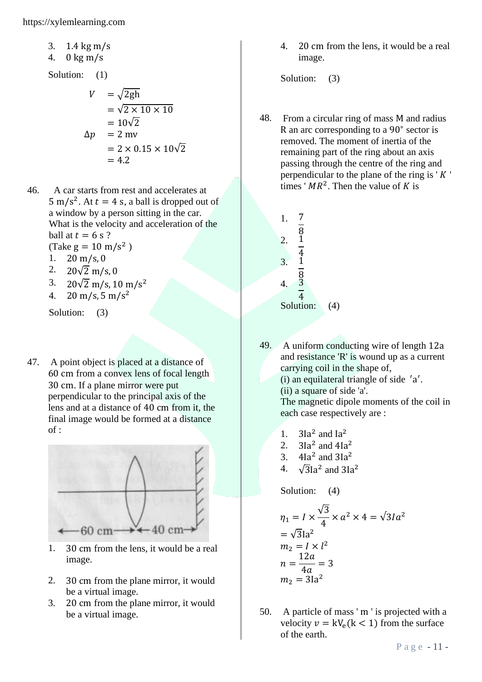- 3. 1.4 kg m/s
- 4. 0 kg m/s

Solution: (1)

$$
V = \sqrt{2gh}
$$
  
=  $\sqrt{2 \times 10 \times 10}$   
=  $10\sqrt{2}$   

$$
\Delta p = 2 \text{ mv}
$$
  
=  $2 \times 0.15 \times 10\sqrt{2}$   
= 4.2

- 46. A car starts from rest and accelerates at  $5 \text{ m/s}^2$ . At  $t = 4 \text{ s}$ , a ball is dropped out of a window by a person sitting in the car. What is the velocity and acceleration of the ball at  $t = 6$  s ? (Take  $g = 10 \text{ m/s}^2$ )
	- 1.  $20 \text{ m/s}, 0$
	- 2.  $20\sqrt{2}$  m/s, 0
	- 3. 20 $\sqrt{2}$  m/s, 10 m/s<sup>2</sup>
	- 4. 20 m/s, 5 m/s<sup>2</sup>

Solution: (3)

47. A point object is placed at a distance of 60 cm from a convex lens of focal length 30 cm. If a plane mirror were put perpendicular to the principal axis of the lens and at a distance of 40 cm from it, the final image would be formed at a distance  $of:$ 



- 1. 30 cm from the lens, it would be a real image.
- 2. 30 cm from the plane mirror, it would be a virtual image.
- 3. 20 cm from the plane mirror, it would be a virtual image.

4. 20 cm from the lens, it would be a real image.

Solution: (3)

48. From a circular ring of mass M and radius R an arc corresponding to a 90<sup>∘</sup> sector is removed. The moment of inertia of the remaining part of the ring about an axis passing through the centre of the ring and perpendicular to the plane of the ring is  $' K'$ times ' $MR^2$ . Then the value of K is

| 1.                   |                |     |
|----------------------|----------------|-----|
| 2.                   | $\overline{8}$ |     |
| 3.                   | $\frac{4}{1}$  |     |
| $\mathbf{4}_{\cdot}$ | $\frac{8}{3}$  |     |
|                      | $\overline{4}$ |     |
|                      | Solution:      | (4) |

49. A uniform conducting wire of length 12a and resistance 'R' is wound up as a current carrying coil in the shape of, (i) an equilateral triangle of side ′ a ′ . (ii) a square of side 'a'. The magnetic dipole moments of the coil in

each case respectively are :

- 1.  $3Ia<sup>2</sup>$  and  $Ia<sup>2</sup>$
- 2.  $3Ia<sup>2</sup>$  and  $4Ia<sup>2</sup>$
- 3.  $4Ia^2$  and  $3Ia^2$
- 4.  $\sqrt{3}$ Ia<sup>2</sup> and 3Ia<sup>2</sup>

Solution: (4)

$$
\eta_1 = I \times \frac{\sqrt{3}}{4} \times a^2 \times 4 = \sqrt{3}Ia^2
$$
  
=  $\sqrt{3}Ia^2$   
 $m_2 = I \times l^2$   
 $n = \frac{12a}{4a} = 3$   
 $m_2 = 3Ia^2$ 

50. A particle of mass ' m ' is projected with a velocity  $v = kV_e(k < 1)$  from the surface of the earth.